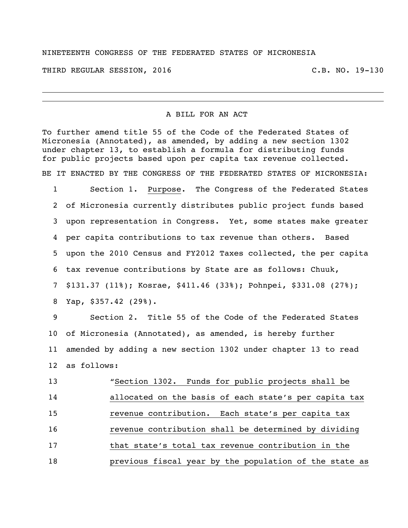## NINETEENTH CONGRESS OF THE FEDERATED STATES OF MICRONESIA

THIRD REGULAR SESSION, 2016 C.B. NO. 19-130

## A BILL FOR AN ACT

To further amend title 55 of the Code of the Federated States of Micronesia (Annotated), as amended, by adding a new section 1302 under chapter 13, to establish a formula for distributing funds for public projects based upon per capita tax revenue collected.

BE IT ENACTED BY THE CONGRESS OF THE FEDERATED STATES OF MICRONESIA:

 Section 1. Purpose. The Congress of the Federated States of Micronesia currently distributes public project funds based upon representation in Congress. Yet, some states make greater per capita contributions to tax revenue than others. Based upon the 2010 Census and FY2012 Taxes collected, the per capita tax revenue contributions by State are as follows: Chuuk, \$131.37 (11%); Kosrae, \$411.46 (33%); Pohnpei, \$331.08 (27%); Yap, \$357.42 (29%).

 Section 2. Title 55 of the Code of the Federated States of Micronesia (Annotated), as amended, is hereby further amended by adding a new section 1302 under chapter 13 to read as follows:

| 13 | "Section 1302. Funds for public projects shall be      |
|----|--------------------------------------------------------|
| 14 | allocated on the basis of each state's per capita tax  |
| 15 | revenue contribution. Each state's per capita tax      |
| 16 | revenue contribution shall be determined by dividing   |
| 17 | that state's total tax revenue contribution in the     |
| 18 | previous fiscal year by the population of the state as |